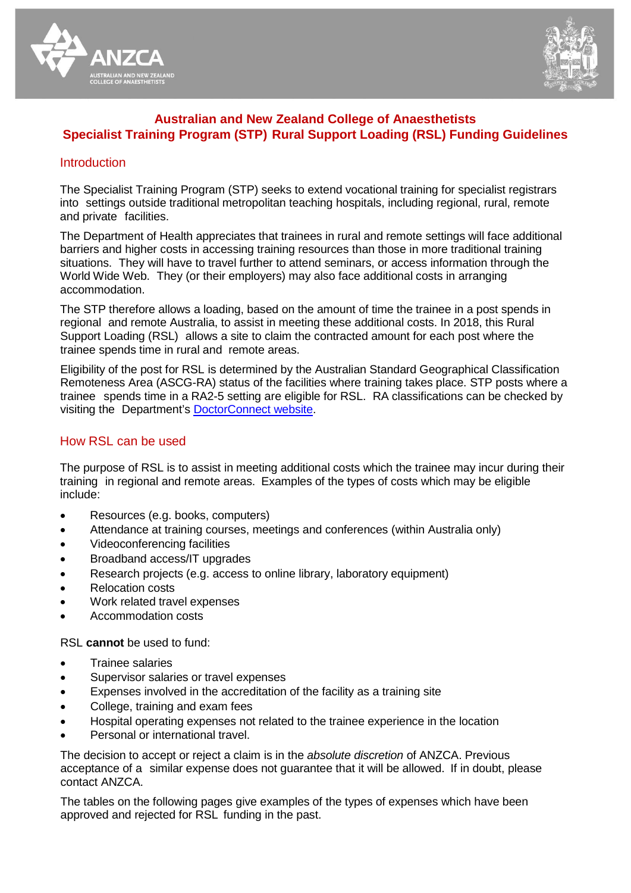



# **Australian and New Zealand College of Anaesthetists Specialist Training Program (STP) Rural Support Loading (RSL) Funding Guidelines**

### **Introduction**

The Specialist Training Program (STP) seeks to extend vocational training for specialist registrars into settings outside traditional metropolitan teaching hospitals, including regional, rural, remote and private facilities.

The Department of Health appreciates that trainees in rural and remote settings will face additional barriers and higher costs in accessing training resources than those in more traditional training situations. They will have to travel further to attend seminars, or access information through the World Wide Web. They (or their employers) may also face additional costs in arranging accommodation.

The STP therefore allows a loading, based on the amount of time the trainee in a post spends in regional and remote Australia, to assist in meeting these additional costs. In 2018, this Rural Support Loading (RSL) allows a site to claim the contracted amount for each post where the trainee spends time in rural and remote areas.

Eligibility of the post for RSL is determined by the Australian Standard Geographical Classification Remoteness Area (ASCG-RA) status of the facilities where training takes place. STP posts where a trainee spends time in a RA2-5 setting are eligible for RSL. RA classifications can be checked by visiting the Department's [DoctorConnect](http://www.doctorconnect.gov.au/internet/otd/publishing.nsf/Content/locator) website.

## How RSL can be used

The purpose of RSL is to assist in meeting additional costs which the trainee may incur during their training in regional and remote areas. Examples of the types of costs which may be eligible include:

- Resources (e.g. books, computers)
- Attendance at training courses, meetings and conferences (within Australia only)
- Videoconferencing facilities
- Broadband access/IT upgrades
- Research projects (e.g. access to online library, laboratory equipment)
- Relocation costs
- Work related travel expenses
- Accommodation costs

RSL **cannot** be used to fund:

- Trainee salaries
- Supervisor salaries or travel expenses
- Expenses involved in the accreditation of the facility as a training site
- College, training and exam fees
- Hospital operating expenses not related to the trainee experience in the location
- Personal or international travel.

The decision to accept or reject a claim is in the *absolute discretion* of ANZCA. Previous acceptance of a similar expense does not guarantee that it will be allowed. If in doubt, please contact ANZCA.

The tables on the following pages give examples of the types of expenses which have been approved and rejected for RSL funding in the past.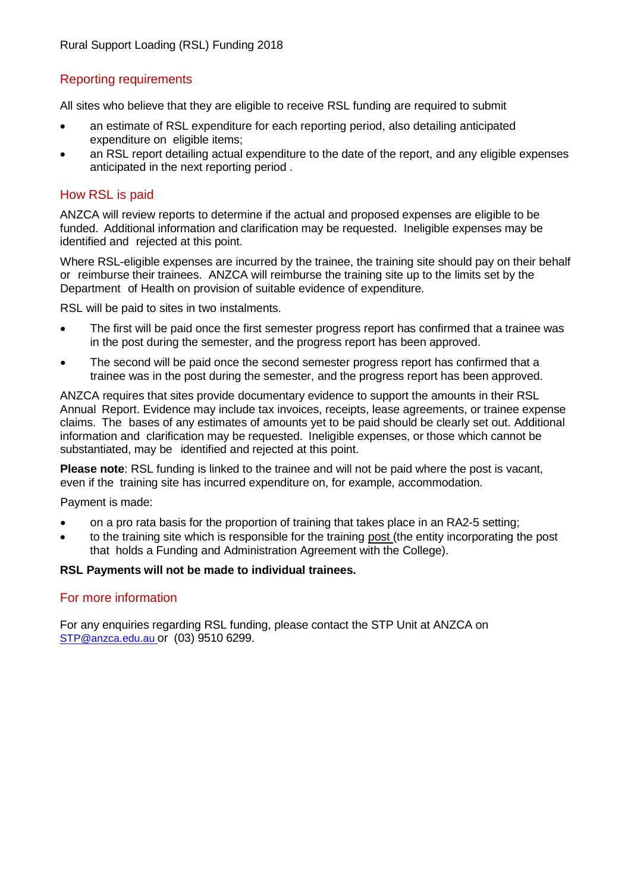# Reporting requirements

All sites who believe that they are eligible to receive RSL funding are required to submit

- an estimate of RSL expenditure for each reporting period, also detailing anticipated expenditure on eligible items;
- an RSL report detailing actual expenditure to the date of the report, and any eligible expenses anticipated in the next reporting period .

### How RSL is paid

ANZCA will review reports to determine if the actual and proposed expenses are eligible to be funded. Additional information and clarification may be requested. Ineligible expenses may be identified and rejected at this point.

Where RSL-eligible expenses are incurred by the trainee, the training site should pay on their behalf or reimburse their trainees. ANZCA will reimburse the training site up to the limits set by the Department of Health on provision of suitable evidence of expenditure.

RSL will be paid to sites in two instalments.

- The first will be paid once the first semester progress report has confirmed that a trainee was in the post during the semester, and the progress report has been approved.
- The second will be paid once the second semester progress report has confirmed that a trainee was in the post during the semester, and the progress report has been approved.

ANZCA requires that sites provide documentary evidence to support the amounts in their RSL Annual Report. Evidence may include tax invoices, receipts, lease agreements, or trainee expense claims. The bases of any estimates of amounts yet to be paid should be clearly set out. Additional information and clarification may be requested. Ineligible expenses, or those which cannot be substantiated, may be identified and rejected at this point.

**Please note**: RSL funding is linked to the trainee and will not be paid where the post is vacant, even if the training site has incurred expenditure on, for example, accommodation.

Payment is made:

- on a pro rata basis for the proportion of training that takes place in an RA2-5 setting;
- to the training site which is responsible for the training post (the entity incorporating the post that holds a Funding and Administration Agreement with the College).

#### **RSL Payments will not be made to individual trainees.**

### For more information

For any enquiries regarding RSL funding, please contact the STP Unit at ANZCA on [STP@anzca.edu.au](mailto:STP@anzca.edu.au) or (03) 9510 6299.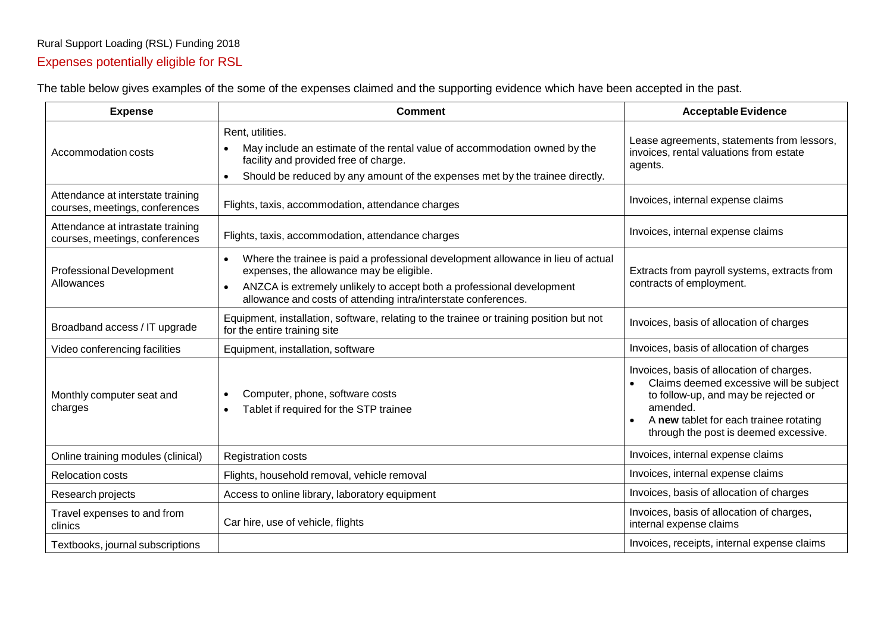# Rural Support Loading (RSL) Funding 2018 Expenses potentially eligible for RSL

The table below gives examples of the some of the expenses claimed and the supporting evidence which have been accepted in the past.

| <b>Expense</b>                                                      | <b>Comment</b>                                                                                                                                                                                                                                                                       | <b>Acceptable Evidence</b>                                                                                                                                                                                                  |
|---------------------------------------------------------------------|--------------------------------------------------------------------------------------------------------------------------------------------------------------------------------------------------------------------------------------------------------------------------------------|-----------------------------------------------------------------------------------------------------------------------------------------------------------------------------------------------------------------------------|
| Accommodation costs                                                 | Rent, utilities.<br>May include an estimate of the rental value of accommodation owned by the<br>facility and provided free of charge.<br>Should be reduced by any amount of the expenses met by the trainee directly.<br>$\bullet$                                                  | Lease agreements, statements from lessors,<br>invoices, rental valuations from estate<br>agents.                                                                                                                            |
| Attendance at interstate training<br>courses, meetings, conferences | Flights, taxis, accommodation, attendance charges                                                                                                                                                                                                                                    | Invoices, internal expense claims                                                                                                                                                                                           |
| Attendance at intrastate training<br>courses, meetings, conferences | Flights, taxis, accommodation, attendance charges                                                                                                                                                                                                                                    | Invoices, internal expense claims                                                                                                                                                                                           |
| Professional Development<br>Allowances                              | Where the trainee is paid a professional development allowance in lieu of actual<br>$\bullet$<br>expenses, the allowance may be eligible.<br>ANZCA is extremely unlikely to accept both a professional development<br>allowance and costs of attending intra/interstate conferences. | Extracts from payroll systems, extracts from<br>contracts of employment.                                                                                                                                                    |
| Broadband access / IT upgrade                                       | Equipment, installation, software, relating to the trainee or training position but not<br>for the entire training site                                                                                                                                                              | Invoices, basis of allocation of charges                                                                                                                                                                                    |
| Video conferencing facilities                                       | Equipment, installation, software                                                                                                                                                                                                                                                    | Invoices, basis of allocation of charges                                                                                                                                                                                    |
| Monthly computer seat and<br>charges                                | Computer, phone, software costs<br>Tablet if required for the STP trainee                                                                                                                                                                                                            | Invoices, basis of allocation of charges.<br>Claims deemed excessive will be subject<br>to follow-up, and may be rejected or<br>amended.<br>A new tablet for each trainee rotating<br>through the post is deemed excessive. |
| Online training modules (clinical)                                  | <b>Registration costs</b>                                                                                                                                                                                                                                                            | Invoices, internal expense claims                                                                                                                                                                                           |
| <b>Relocation costs</b>                                             | Flights, household removal, vehicle removal                                                                                                                                                                                                                                          | Invoices, internal expense claims                                                                                                                                                                                           |
| Research projects                                                   | Access to online library, laboratory equipment                                                                                                                                                                                                                                       | Invoices, basis of allocation of charges                                                                                                                                                                                    |
| Travel expenses to and from<br>clinics                              | Car hire, use of vehicle, flights                                                                                                                                                                                                                                                    | Invoices, basis of allocation of charges,<br>internal expense claims                                                                                                                                                        |
| Textbooks, journal subscriptions                                    |                                                                                                                                                                                                                                                                                      | Invoices, receipts, internal expense claims                                                                                                                                                                                 |